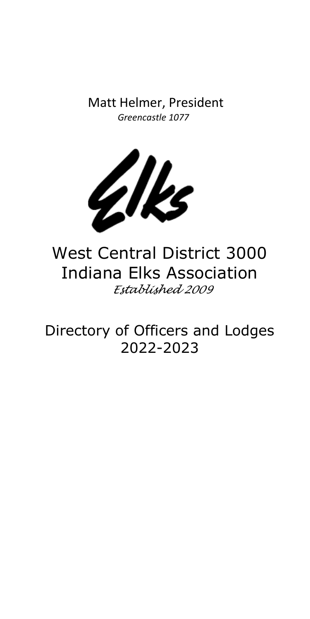Matt Helmer, President *Greencastle 1077*



West Central District 3000 Indiana Elks Association *Established 2009*

Directory of Officers and Lodges 2022-2023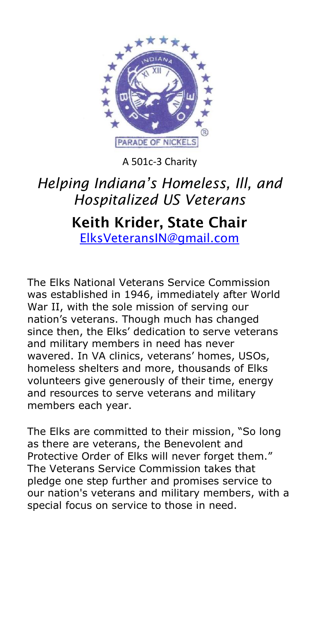

A 501c-3 Charity

# *Helping Indiana's Homeless, Ill, and Hospitalized US Veterans*

# **Keith Krider, State Chair** [ElksVeteransIN@gmail.com](mailto:ElksVeteransIN@gmail.com)

The Elks National Veterans Service Commission was established in 1946, immediately after World War II, with the sole mission of serving our nation's veterans. Though much has changed since then, the Elks' dedication to serve veterans and military members in need has never wavered. In VA clinics, veterans' homes, USOs, homeless shelters and more, thousands of Elks volunteers give generously of their time, energy and resources to serve veterans and military members each year.

The Elks are committed to their mission, "So long as there are veterans, the Benevolent and Protective Order of Elks will never forget them." The Veterans Service Commission takes that pledge one step further and promises service to our nation's veterans and military members, with a special focus on service to those in need.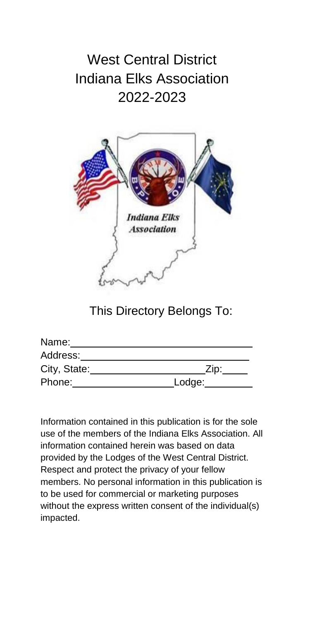# West Central District Indiana Elks Association 2022-2023



This Directory Belongs To:

| Name:        |        |
|--------------|--------|
| Address:     |        |
| City, State: | Zip:   |
| Phone:       | Lodge: |

Information contained in this publication is for the sole use of the members of the Indiana Elks Association. All information contained herein was based on data provided by the Lodges of the West Central District. Respect and protect the privacy of your fellow members. No personal information in this publication is to be used for commercial or marketing purposes without the express written consent of the individual(s) impacted.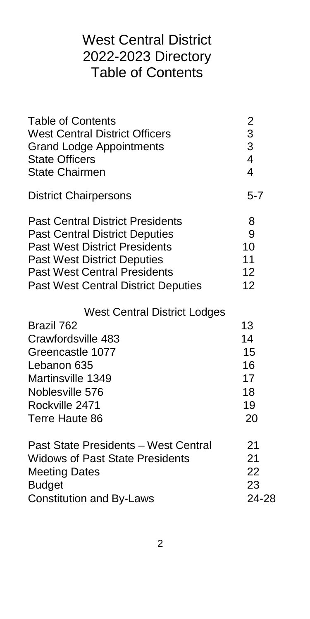# West Central District 2022-2023 Directory Table of Contents

<span id="page-3-0"></span>

| <b>Table of Contents</b><br><b>West Central District Officers</b><br><b>Grand Lodge Appointments</b><br><b>State Officers</b><br><b>State Chairmen</b>                                                                                              | $\overline{\mathbf{c}}$<br>$\frac{3}{3}$<br>$\overline{4}$<br>$\overline{4}$ |
|-----------------------------------------------------------------------------------------------------------------------------------------------------------------------------------------------------------------------------------------------------|------------------------------------------------------------------------------|
| <b>District Chairpersons</b>                                                                                                                                                                                                                        | $5 - 7$                                                                      |
| <b>Past Central District Presidents</b><br><b>Past Central District Deputies</b><br><b>Past West District Presidents</b><br><b>Past West District Deputies</b><br><b>Past West Central Presidents</b><br><b>Past West Central District Deputies</b> | 8<br>9<br>10<br>11<br>12<br>12                                               |
| <b>West Central District Lodges</b>                                                                                                                                                                                                                 |                                                                              |
| Brazil 762                                                                                                                                                                                                                                          | 13                                                                           |
| Crawfordsville 483                                                                                                                                                                                                                                  | 14                                                                           |
| Greencastle 1077                                                                                                                                                                                                                                    | 15                                                                           |
| Lebanon 635                                                                                                                                                                                                                                         | 16                                                                           |
| Martinsville 1349                                                                                                                                                                                                                                   | 17                                                                           |
| Noblesville 576                                                                                                                                                                                                                                     | 18                                                                           |
| Rockville 2471                                                                                                                                                                                                                                      | 19                                                                           |
| Terre Haute 86                                                                                                                                                                                                                                      | 20                                                                           |
| Past State Presidents - West Central                                                                                                                                                                                                                | 21                                                                           |
| <b>Widows of Past State Presidents</b>                                                                                                                                                                                                              | 21                                                                           |
| <b>Meeting Dates</b>                                                                                                                                                                                                                                | 22                                                                           |
| <b>Budget</b>                                                                                                                                                                                                                                       | 23                                                                           |
| <b>Constitution and By-Laws</b>                                                                                                                                                                                                                     | 24-28                                                                        |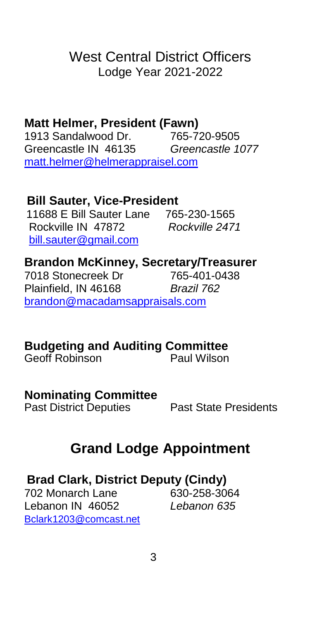# West Central District Officers Lodge Year 2021-2022

# **Matt Helmer, President (Fawn)**

1913 Sandalwood Dr. Greencastle IN 46135 *Greencastle 1077* [matt.helmer@helmerappraisel.com](mailto:matt.helmer@helmerappraisel.com)

### **Bill Sauter, Vice-President**

 11688 E Bill Sauter Lane 765-230-1565 Rockville IN 47872 *Rockville 2471* <bill.sauter@gmail.com>

# **Brandon McKinney, Secretary/Treasurer**

**Diamerical**<br>7018 Stonecreek Dr Plainfield, IN 46168 *Brazil 762* [brandon@macadamsappraisals.com](mailto:brandon@macadamsappraisals.com)

## **Budgeting and Auditing Committee**

Geoff Robinson **Paul Wilson** 

#### **Nominating Committee**

<span id="page-4-0"></span>

Past District Deputies Past State Presidents

# **Grand Lodge Appointment**

## **Brad Clark, District Deputy (Cindy)**

702 Monarch Lane 630-258-3064 Lebanon IN 46052 *Lebanon 635* [Bclark1203@comcast.net](mailto:Bclark1203@comcast.net)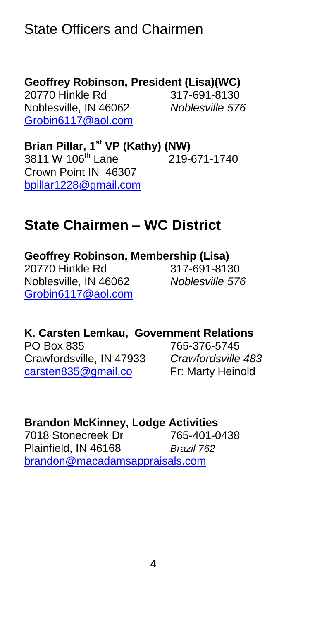# State Officers and Chairmen

## **Geoffrey Robinson, President (Lisa)(WC)**

20770 Hinkle Rd 317-691-8130 Noblesville, IN 46062 *Noblesville 576* [Grobin6117@aol.com](mailto:Grobin6117@aol.com)

**Brian Pillar, 1 st VP (Kathy) (NW)** 3811 W 106<sup>th</sup> Lane 219-671-1740 Crown Point IN 46307 [bpillar1228@gmail.com](bpillar1228@gmail.com%20)

# **State Chairmen – WC District**

**Geoffrey Robinson, Membership (Lisa)** 20770 Hinkle Rd 317-691-8130 Noblesville, IN 46062 *Noblesville 576* [Grobin6117@aol.com](mailto:Grobin6117@aol.com)

**K. Carsten Lemkau, Government Relations**  PO Box 835 765-376-5745 Crawfordsville, IN 47933 *Crawfordsville 483* [carsten835@gmail.co](mailto:carsten835@gmail.co) Fr: Marty Heinold

### **Brandon McKinney, Lodge Activities**

<span id="page-5-0"></span>7018 Stonecreek Dr 765-401-0438 Plainfield, IN 46168 *Brazil 762* [brandon@macadamsappraisals.com](mailto:brandon@macadamsappraisals.com)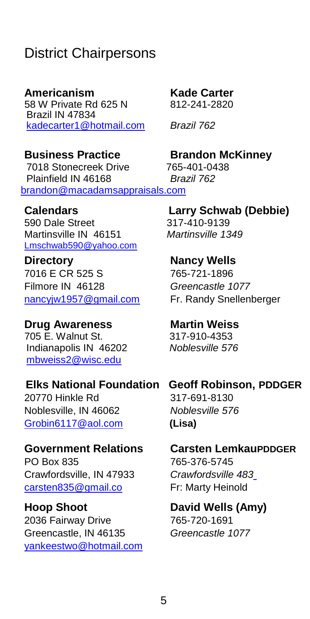# District Chairpersons

**Americanism Kade Carter** 58 W Private Rd 625 N Brazil IN 47834 [kadecarter1@hotmail.com](file:///C:/Users/njw/elks/directory/2021-22/kadecarter1@hotmail.com) *Brazil 762*

 7018 Stonecreek Drive 765-401-0438 Plainfield IN 46168 *Brazil 762* [brandon@macadamsappraisals.com](mailto:brandon@macadamsappraisals.com)

590 Dale Street 317-410-9139 Martinsville IN 46151 *Martinsville 1349* <Lmschwab590@yahoo.com>

**Directory Nancy Wells** 7016 E CR 525 S 765-721-1896 Filmore IN 46128 *Greencastle 1077* [nancyjw1957@gmail.com](mailto:nancyjw1957@gmail.com) Fr. Randy Snellenberger

**Drug Awareness Martin Weiss** 705 E. Walnut St. 317-910-4353 Indianapolis IN 46202 *Noblesville 576* [mbweiss2@wisc.edu](file:///C:/Users/njw/elks/directory/2021-22/mbweiss2@wisc.edu)

 **Elks National Foundation Geoff Robinson, PDDGER**  20770 Hinkle Rd 317-691-8130 Noblesville, IN 46062 *Noblesville 576* [Grobin6117@aol.com](mailto:Grobin6117@aol.com) **(Lisa)**

PO Box 835 765-376-5745 Crawfordsville, IN 47933 *Crawfordsville 483* [carsten835@gmail.co](mailto:carsten835@gmail.co) Fr: Marty Heinold

**Hoop Shoot David Wells (Amy)** 2036 Fairway Drive 765-720-1691 Greencastle, IN 46135 *Greencastle 1077* [yankeestwo@hotmail.com](mailto:yankeestwo@hotmail.com)

**Business Practice Brandon McKinney**

**Calendars Larry Schwab (Debbie)**

**Government Relations Carsten LemkauPDDGER**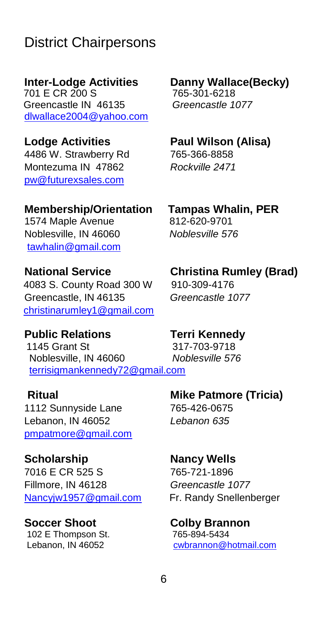# District Chairpersons

 701 E CR 200 S 765-301-6218 Greencastle IN 46135 *Greencastle 1077* [dlwallace2004@yahoo.com](mailto:dlwallace2004@yahoo.com)

4486 W. Strawberry Rd 765-366-8858 Montezuma IN 47862 *Rockville 2471* [pw@futurexsales.com](mailto:pw@futurexsales.com)

1574 Maple Avenue Noblesville, IN 46060 *Noblesville 576* [tawhalin@gmail.com](mailto:tawhalin@gmail.com)

 4083 S. County Road 300 W 910-309-4176 Greencastle, IN 46135 *Greencastle 1077* [christinarumley1@gmail.com](mailto:christinarumley1@gmail.com)

**Public Relations Terri Kennedy** 1145 Grant St 317-703-9718<br>Noblesville, IN 46060 *Noblesville 576*  Noblesville, IN 46060 *Noblesville 576* [terrisigmankennedy72@gmail.com](file:///C:/Users/njw/elks/directory/2021-22/terrisigmankennedy72@gmail.com) 

1112 Sunnyside Lane 765-426-0675 Lebanon, IN 46052 *Lebanon 635* [pmpatmore@gmail.com](mailto:pmpatmore@gmail.com)

**Scholarship Nancy Wells** 7016 E CR 525 S 765-721-1896 Fillmore, IN 46128 *Greencastle 1077*

102 E Thompson St.<br>Lebanon, IN 46052

**Inter-Lodge Activities Danny Wallace(Becky)**

**Lodge Activities Paul Wilson (Alisa)**

**Membership/Orientation Tampas Whalin, PER**

#### **National Service Christina Rumley (Brad)**

**Ritual Mike Patmore (Tricia)**

[Nancyjw1957@gmail.com](mailto:Nancyjw1957@gmail.com) Fr. Randy Snellenberger

**Soccer Shoot Colby Brannon**<br>102 E Thompson St. 765-894-5434 [cwbrannon@h](mailto:cwbrannon@)otmail.com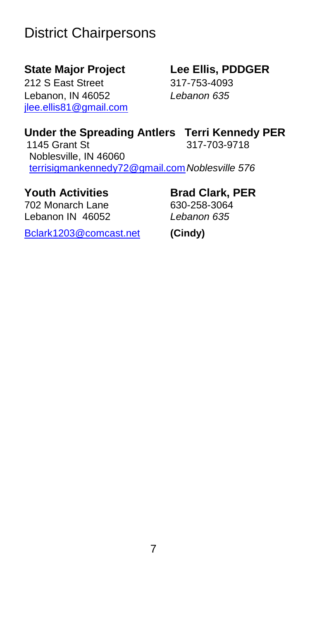# District Chairpersons

212 S East Street 317-753-4093 Lebanon, IN 46052 *Lebanon 635* [jlee.ellis81@gmail.com](mailto:jlee.ellis81@gmail.com)

# **State Major Project Lee Ellis, PDDGER**

### **Under the Spreading Antlers Terri Kennedy PER**

1145 Grant St 317-703-9718 Noblesville, IN 46060 [terrisigmankennedy72@gmail.com](file:///C:/Users/njw/elks/directory/2021-22/terrisigmankennedy72@gmail.com)*Noblesville 576*

702 Monarch Lane Lebanon IN 46052 *Lebanon 635*

# **Youth Activities Brad Clark, PER**

[Bclark1203@comcast.net](mailto:Bclark1203@comcast.net) **(Cindy)**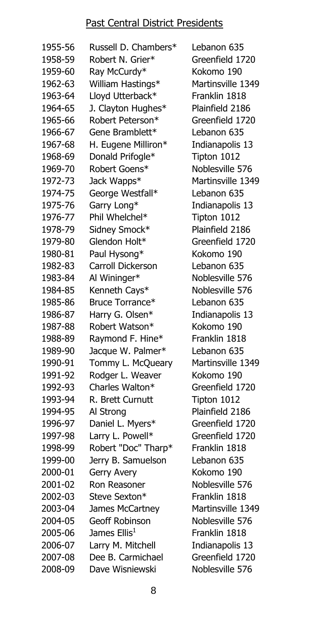#### Past Central District Presidents

| 1955-56 | Russell D. Chambers*     |
|---------|--------------------------|
| 1958-59 | Robert N. Grier*         |
| 1959-60 | Ray McCurdy*             |
| 1962-63 | William Hastings*        |
| 1963-64 | Lloyd Utterback*         |
| 1964-65 | J. Clayton Hughes*       |
| 1965-66 | Robert Peterson*         |
| 1966-67 | Gene Bramblett*          |
| 1967-68 | H. Eugene Milliron*      |
| 1968-69 | Donald Prifogle*         |
| 1969-70 | Robert Goens*            |
| 1972-73 | Jack Wapps*              |
| 1974-75 | George Westfall*         |
| 1975-76 | Garry Long*              |
| 1976-77 | Phil Whelchel*           |
| 1978-79 | Sidney Smock*            |
| 1979-80 | Glendon Holt*            |
| 1980-81 | Paul Hysong*             |
| 1982-83 | Carroll Dickerson        |
| 1983-84 | Al Wininger*             |
| 1984-85 | Kenneth Cays*            |
| 1985-86 | Bruce Torrance*          |
| 1986-87 | Harry G. Olsen*          |
| 1987-88 | Robert Watson*           |
| 1988-89 | Raymond F. Hine*         |
| 1989-90 | Jacque W. Palmer*        |
| 1990-91 | Tommy L. McQueary        |
| 1991-92 | Rodger L. Weaver         |
| 1992-93 | Charles Walton*          |
| 1993-94 | R. Brett Curnutt         |
| 1994-95 | Al Strong                |
| 1996-97 | Daniel L. Myers*         |
| 1997-98 | Larry L. Powell*         |
| 1998-99 | Robert "Doc" Tharp*      |
| 1999-00 | Jerry B. Samuelson       |
| 2000-01 | Gerry Avery              |
| 2001-02 | Ron Reasoner             |
| 2002-03 | Steve Sexton*            |
| 2003-04 | James McCartney          |
| 2004-05 | Geoff Robinson           |
| 2005-06 | James Ellis <sup>1</sup> |
| 2006-07 | Larry M. Mitchell        |
| 2007-08 | Dee B. Carmichael        |
| 2008-09 | Dave Wisniewski          |

Lebanon 635 Greenfield 1720 Kokomo 190 Martinsville 1349 Franklin 1818 Plainfield 2186 Greenfield 1720 Lebanon 635 Indianapolis 13 Tipton 1012 Noblesville 576 Martinsville 1349 Lebanon 635 Indianapolis 13 Tipton 1012 Plainfield 2186 Greenfield 1720 Kokomo 190 Lebanon 635 Noblesville 576 Noblesville 576 Lebanon 635 Indianapolis 13 Kokomo 190 Franklin 1818 Lebanon 635 Martinsville 1349 Kokomo 190 Greenfield 1720 Tipton 1012 Plainfield 2186 Greenfield 1720 Greenfield 1720 Franklin 1818 Lebanon 635 Kokomo 190 Noblesville 576 Franklin 1818 Martinsville 1349 Noblesville 576 Franklin 1818 Indianapolis 13 Greenfield 1720 Noblesville 576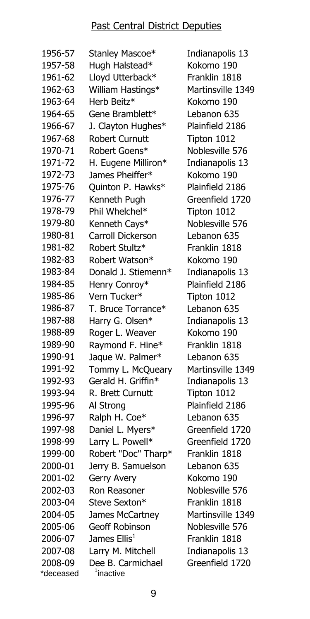#### Past Central District Deputies

| 1956-57   | Stanley Mascoe*          | Indianapolis 13   |
|-----------|--------------------------|-------------------|
| 1957-58   | Hugh Halstead*           | Kokomo 190        |
| 1961-62   | Lloyd Utterback*         | Franklin 1818     |
| 1962-63   | William Hastings*        | Martinsville 1349 |
| 1963-64   | Herb Beitz*              | Kokomo 190        |
| 1964-65   | Gene Bramblett*          | Lebanon 635       |
| 1966-67   | J. Clayton Hughes*       | Plainfield 2186   |
| 1967-68   | <b>Robert Curnutt</b>    | Tipton 1012       |
| 1970-71   | Robert Goens*            | Noblesville 576   |
| 1971-72   | H. Eugene Milliron*      | Indianapolis 13   |
| 1972-73   | James Pheiffer*          | Kokomo 190        |
| 1975-76   | Quinton P. Hawks*        | Plainfield 2186   |
| 1976-77   | Kenneth Pugh             | Greenfield 1720   |
| 1978-79   | Phil Whelchel*           | Tipton 1012       |
| 1979-80   | Kenneth Cays*            | Noblesville 576   |
| 1980-81   | Carroll Dickerson        | Lebanon 635       |
| 1981-82   | Robert Stultz*           | Franklin 1818     |
| 1982-83   | Robert Watson*           | Kokomo 190        |
| 1983-84   | Donald J. Stiemenn*      | Indianapolis 13   |
| 1984-85   | Henry Conroy*            | Plainfield 2186   |
| 1985-86   | Vern Tucker*             | Tipton 1012       |
| 1986-87   | T. Bruce Torrance*       | Lebanon 635       |
| 1987-88   | Harry G. Olsen*          | Indianapolis 13   |
| 1988-89   | Roger L. Weaver          | Kokomo 190        |
| 1989-90   | Raymond F. Hine*         | Franklin 1818     |
| 1990-91   | Jaque W. Palmer*         | Lebanon 635       |
| 1991-92   | Tommy L. McQueary        | Martinsville 1349 |
| 1992-93   | Gerald H. Griffin*       | Indianapolis 13   |
| 1993-94   | R. Brett Curnutt         | Tipton 1012       |
| 1995-96   | Al Strong                | Plainfield 2186   |
| 1996-97   | Ralph H. Coe*            | Lebanon 635       |
| 1997-98   | Daniel L. Myers*         | Greenfield 1720   |
| 1998-99   | Larry L. Powell*         | Greenfield 1720   |
| 1999-00   | Robert "Doc" Tharp*      | Franklin 1818     |
| 2000-01   | Jerry B. Samuelson       | Lebanon 635       |
| 2001-02   | Gerry Avery              | Kokomo 190        |
| 2002-03   | Ron Reasoner             | Noblesville 576   |
| 2003-04   | Steve Sexton*            | Franklin 1818     |
| 2004-05   | James McCartney          | Martinsville 1349 |
| 2005-06   | Geoff Robinson           | Noblesville 576   |
| 2006-07   | James Ellis <sup>1</sup> | Franklin 1818     |
| 2007-08   | Larry M. Mitchell        | Indianapolis 13   |
| 2008-09   | Dee B. Carmichael        | Greenfield 1720   |
| *deceased | <sup>1</sup> inactive    |                   |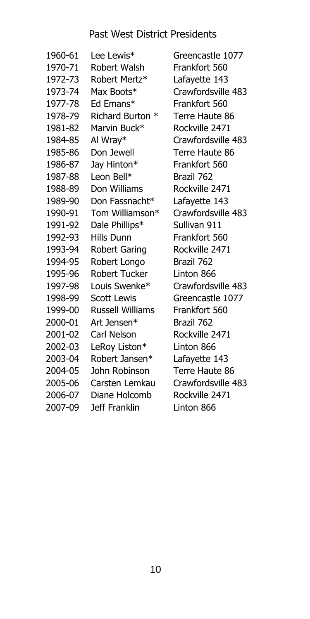#### Past West District Presidents

| 1960-61 | Lee Lewis*              | Gr  |
|---------|-------------------------|-----|
| 1970-71 | Robert Walsh            | Fra |
| 1972-73 | Robert Mertz*           | La  |
| 1973-74 | Max Boots*              | Cr  |
| 1977-78 | Ed Emans*               | Fra |
| 1978-79 | Richard Burton *        | Te  |
| 1981-82 | Marvin Buck*            | Rc  |
| 1984-85 | Al Wray*                | Cr  |
| 1985-86 | Don Jewell              | Te  |
| 1986-87 | Jay Hinton*             | Fra |
| 1987-88 | Leon Bell*              | Br  |
| 1988-89 | Don Williams            | Rc  |
| 1989-90 | Don Fassnacht*          | La  |
| 1990-91 | Tom Williamson*         | Cr  |
| 1991-92 | Dale Phillips*          | Su  |
| 1992-93 | Hills Dunn              | Fra |
| 1993-94 | <b>Robert Garing</b>    | Rc  |
| 1994-95 | Robert Longo            | Br  |
| 1995-96 | <b>Robert Tucker</b>    | Lir |
| 1997-98 | Louis Swenke*           | Cr  |
| 1998-99 | <b>Scott Lewis</b>      | Gr  |
| 1999-00 | <b>Russell Williams</b> | Fra |
| 2000-01 | Art Jensen*             | Br  |
| 2001-02 | Carl Nelson             | Rc  |
| 2002-03 | LeRoy Liston*           | Lir |
| 2003-04 | Robert Jansen*          | La  |
| 2004-05 | John Robinson           | Te  |
| 2005-06 | Carsten Lemkau          | Cr  |
| 2006-07 | Diane Holcomb           | Rc  |
| 2007-09 | Jeff Franklin           | Lir |
|         |                         |     |

eencastle 1077 ankfort 560 fayette 143 awfordsville 483 ankfort 560 rre Haute 86 ockville 2471 awfordsville 483 rre Haute 86 ankfort 560 azil 762 ockville 2471 fayette 143 awfordsville 483 Illivan 911 ankfort 560 ockville 2471 azil 762 nton 866 awfordsville 483 eencastle 1077 ankfort 560 azil 762 ockville 2471 nton 866 fayette 143 rre Haute 86 awfordsville 483 ckville 2471 1ton 866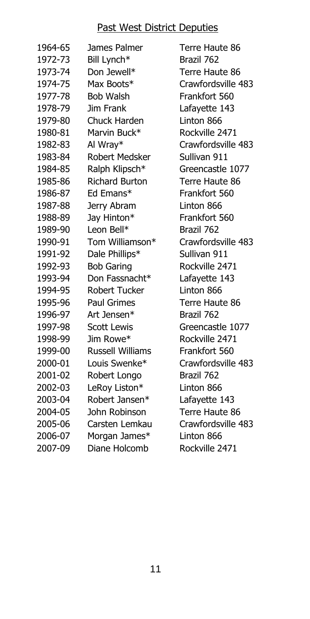#### Past West District Deputies

| 1964-65 | James Palmer            |
|---------|-------------------------|
| 1972-73 | Bill Lynch*             |
| 1973-74 | Don Jewell*             |
| 1974-75 | Max Boots*              |
| 1977-78 | <b>Bob Walsh</b>        |
| 1978-79 | Jim Frank               |
| 1979-80 | Chuck Harden            |
| 1980-81 | Marvin Buck*            |
| 1982-83 | Al Wray*                |
| 1983-84 | <b>Robert Medsker</b>   |
| 1984-85 | Ralph Klipsch*          |
| 1985-86 | <b>Richard Burton</b>   |
| 1986-87 | Ed Emans*               |
| 1987-88 | Jerry Abram             |
| 1988-89 | Jay Hinton*             |
| 1989-90 | Leon Bell*              |
| 1990-91 | Tom Williamson*         |
| 1991-92 | Dale Phillips*          |
| 1992-93 | <b>Bob Garing</b>       |
| 1993-94 | Don Fassnacht*          |
| 1994-95 | Robert Tucker           |
| 1995-96 | Paul Grimes             |
| 1996-97 | Art Jensen*             |
| 1997-98 | <b>Scott Lewis</b>      |
| 1998-99 | Jim Rowe*               |
| 1999-00 | <b>Russell Williams</b> |
| 2000-01 | Louis Swenke*           |
| 2001-02 | Robert Longo            |
| 2002-03 | LeRoy Liston*           |
| 2003-04 | Robert Jansen*          |
| 2004-05 | John Robinson           |
| 2005-06 | Carsten Lemkau          |
| 2006-07 | Morgan James*           |
| 2007-09 | Diane Holcomb           |

Terre Haute 86 Brazil 762 Terre Haute 86 Crawfordsville 483 Frankfort 560 Lafayette 143 Linton 866 Rockville 2471 Crawfordsville 483 Sullivan 911 Greencastle 1077 Terre Haute 86 Frankfort 560 Linton 866 Frankfort 560 Brazil 762 Crawfordsville 483 Sullivan 911 Rockville 2471 Lafayette 143 Linton 866 Terre Haute 86 Brazil 762 Greencastle 1077 Rockville 2471 Frankfort 560 Crawfordsville 483 Brazil 762 Linton 866 Lafayette 143 Terre Haute 86 Crawfordsville 483 Linton 866 Rockville 2471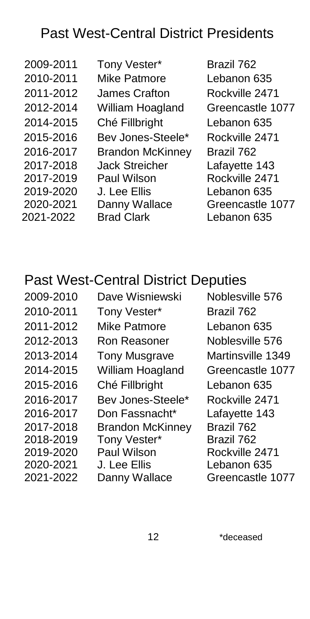# Past West-Central District Presidents

2017-2018 2017-2019 2019-2020 2020-2021 2021-2022

2009-2011 Tony Vester\* Brazil 762 2010-2011 Mike Patmore Lebanon 635 2011-2012 James Crafton Rockville 2471 2012-2014 William Hoagland Greencastle 1077 2014-2015 Ché Fillbright Lebanon 635 2015-2016 Bev Jones-Steele\* Rockville 2471 2016-2017 Brandon McKinney Brazil 762 Jack Streicher Paul Wilson J. Lee Ellis Danny Wallace Brad Clark

Lafayette 143 Rockville 2471 Lebanon 635 Greencastle 1077 Lebanon 635

# <span id="page-13-0"></span>Past West-Central District Deputies

| 2009-2010 | Dave Wisniewski         | Noblesville 576   |
|-----------|-------------------------|-------------------|
| 2010-2011 | Tony Vester*            | Brazil 762        |
| 2011-2012 | Mike Patmore            | Lebanon 635       |
| 2012-2013 | Ron Reasoner            | Noblesville 576   |
| 2013-2014 | <b>Tony Musgrave</b>    | Martinsville 1349 |
| 2014-2015 | William Hoagland        | Greencastle 1077  |
| 2015-2016 | Ché Fillbright          | Lebanon 635       |
| 2016-2017 | Bev Jones-Steele*       | Rockville 2471    |
| 2016-2017 | Don Fassnacht*          | Lafayette 143     |
| 2017-2018 | <b>Brandon McKinney</b> | Brazil 762        |
| 2018-2019 | Tony Vester*            | Brazil 762        |
| 2019-2020 | <b>Paul Wilson</b>      | Rockville 2471    |
| 2020-2021 | J. Lee Ellis            | Lebanon 635       |
| 2021-2022 | Danny Wallace           | Greencastle 1077  |
|           |                         |                   |

12 \*deceased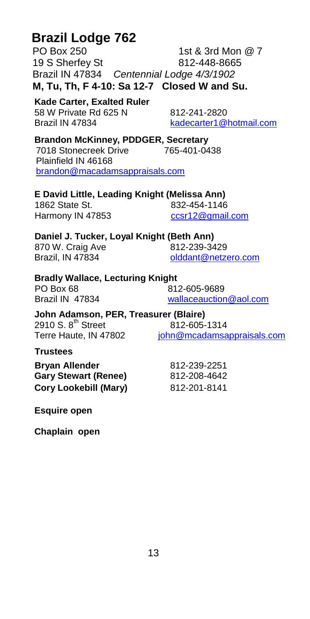# **Brazil Lodge 762**

PO Box 250 1st & 3rd Mon @ 7 19 S Sherfey St 812-448-8665 Brazil IN 47834 *Centennial Lodge 4/3/1902* **M, Tu, Th, F 4-10: Sa 12-7 Closed W and Su.**

**Kade Carter, Exalted Ruler**  58 W Private Rd 625 N 812-241-2820 Brazil IN 47834 [kadecarter1@hotmail.com](file:///C:/Users/njw/elks/directory/2021-22/kadecarter1@hotmail.com)

**Brandon McKinney, PDDGER, Secretary** 7018 Stonecreek Drive Plainfield IN 46168 [brandon@macadamsappraisals.com](mailto:brandon@macadamsappraisals.com)

#### **E David Little, Leading Knight (Melissa Ann)**

1862 State St. 832-454-1146 Harmony IN 47853 [ccsr12@gmail.com](mailto:ccsr12@gmail.com)

#### **Daniel J. Tucker, Loyal Knight (Beth Ann)**

870 W. Craig Ave 812-239-3429

Brazil, IN 47834 [olddant@netzero.com](mailto:olddant@netzero.com)

#### **Bradly Wallace, Lecturing Knight**

PO Box 68 812-605-9689<br>Brazil IN 47834 812-605-9689

<wallaceauction@aol.com>

#### **John Adamson, PER, Treasurer (Blaire)**

2910 S. 8<sup>th</sup> Street  $\frac{812-605-1314}{8}$ <br>Terre Haute. IN 47802  $\frac{1}{10}$  iohn@mcadamsa [john@mcadamsappraisals.com](mailto:john@mcadamsappraisals.com)

**Trustees**

**Bryan Allender** 812-239-2251 **Gary Stewart (Renee)** 812-208-4642 **Cory Lookebill (Mary)** 812-201-8141

**Esquire open**

**Chaplain open**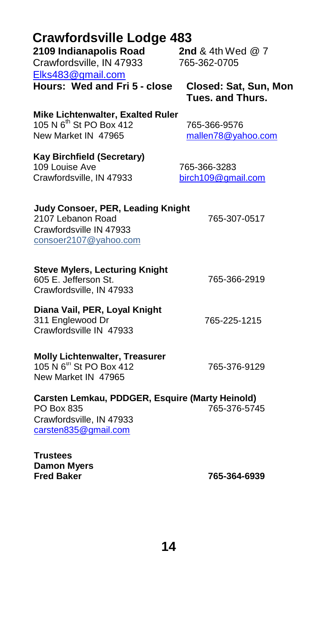| <b>Crawfordsville Lodge 483</b><br>2109 Indianapolis Road                                                         | 2nd & 4th Wed $@7$                               |
|-------------------------------------------------------------------------------------------------------------------|--------------------------------------------------|
| Crawfordsville, IN 47933                                                                                          | 765-362-0705                                     |
| Elks483@gmail.com                                                                                                 |                                                  |
| Hours: Wed and Fri 5 - close                                                                                      | Closed: Sat, Sun, Mon<br><b>Tues. and Thurs.</b> |
| Mike Lichtenwalter, Exalted Ruler<br>105 N 6 <sup>th</sup> St PO Box 412<br>New Market IN 47965                   | 765-366-9576<br>mallen78@yahoo.com               |
| <b>Kay Birchfield (Secretary)</b><br>109 Louise Ave<br>Crawfordsville, IN 47933                                   | 765-366-3283<br>birch109@gmail.com               |
| <b>Judy Consoer, PER, Leading Knight</b><br>2107 Lebanon Road<br>Crawfordsville IN 47933<br>consoer2107@yahoo.com | 765-307-0517                                     |
| <b>Steve Mylers, Lecturing Knight</b><br>605 E. Jefferson St.<br>Crawfordsville, IN 47933                         | 765-366-2919                                     |
| Diana Vail, PER, Loyal Knight<br>311 Englewood Dr<br>Crawfordsville IN 47933                                      | 765-225-1215                                     |
| <b>Molly Lichtenwalter, Treasurer</b><br>105 N 6 <sup>th</sup> St PO Box 412<br>New Market IN 47965               | 765-376-9129                                     |
| Carsten Lemkau, PDDGER, Esquire (Marty Heinold)<br>PO Box 835<br>Crawfordsville, IN 47933<br>carsten835@gmail.com | 765-376-5745                                     |
| <b>Trustees</b><br><b>Damon Myers</b><br><b>Fred Baker</b>                                                        | 765-364-6939                                     |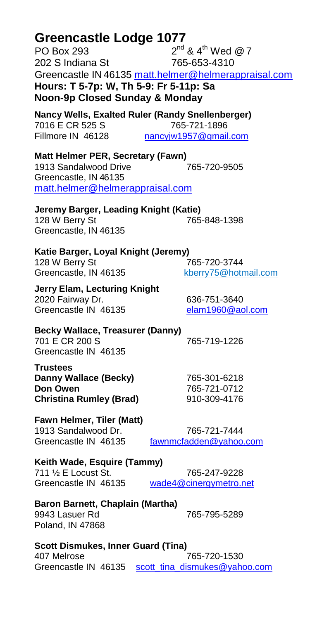| Greencastle Lodge 1077                                    |                                                      |  |  |
|-----------------------------------------------------------|------------------------------------------------------|--|--|
| <b>PO Box 293</b>                                         | $2^{nd}$ & 4 <sup>th</sup> Wed @ 7                   |  |  |
| 202 S Indiana St                                          | 765-653-4310                                         |  |  |
|                                                           | Greencastle IN 46135 matt.helmer@helmerappraisal.com |  |  |
| Hours: T 5-7p: W, Th 5-9: Fr 5-11p: Sa                    |                                                      |  |  |
|                                                           |                                                      |  |  |
| Noon-9p Closed Sunday & Monday                            |                                                      |  |  |
| Nancy Wells, Exalted Ruler (Randy Snellenberger)          |                                                      |  |  |
| 7016 E CR 525 S                                           | 765-721-1896                                         |  |  |
| Fillmore IN 46128                                         | nancyjw1957@gmail.com                                |  |  |
|                                                           |                                                      |  |  |
| Matt Helmer PER, Secretary (Fawn)                         |                                                      |  |  |
| 1913 Sandalwood Drive                                     | 765-720-9505                                         |  |  |
| Greencastle, IN 46135                                     |                                                      |  |  |
| matt.helmer@helmerappraisal.com                           |                                                      |  |  |
|                                                           |                                                      |  |  |
| Jeremy Barger, Leading Knight (Katie)                     |                                                      |  |  |
| 128 W Berry St                                            | 765-848-1398                                         |  |  |
| Greencastle, IN 46135                                     |                                                      |  |  |
| Katie Barger, Loyal Knight (Jeremy)                       |                                                      |  |  |
| 128 W Berry St                                            | 765-720-3744                                         |  |  |
| Greencastle, IN 46135                                     | kberry75@hotmail.com                                 |  |  |
|                                                           |                                                      |  |  |
| Jerry Elam, Lecturing Knight                              |                                                      |  |  |
| 2020 Fairway Dr.                                          | 636-751-3640                                         |  |  |
| Greencastle IN 46135                                      | elam1960@aol.com                                     |  |  |
|                                                           |                                                      |  |  |
| <b>Becky Wallace, Treasurer (Danny)</b><br>701 E CR 200 S | 765-719-1226                                         |  |  |
| Greencastle IN 46135                                      |                                                      |  |  |
|                                                           |                                                      |  |  |
| <b>Trustees</b>                                           |                                                      |  |  |
| Danny Wallace (Becky)                                     | 765-301-6218                                         |  |  |
| Don Owen                                                  | 765-721-0712                                         |  |  |
| <b>Christina Rumley (Brad)</b>                            | 910-309-4176                                         |  |  |
| Fawn Helmer, Tiler (Matt)                                 |                                                      |  |  |
| 1913 Sandalwood Dr.                                       | 765-721-7444                                         |  |  |
| Greencastle IN 46135                                      | fawnmcfadden@yahoo.com                               |  |  |
|                                                           |                                                      |  |  |
| Keith Wade, Esquire (Tammy)                               |                                                      |  |  |
| 711 1/2 E Locust St.                                      | 765-247-9228                                         |  |  |
| Greencastle IN 46135                                      | wade4@cinergymetro.net                               |  |  |
|                                                           |                                                      |  |  |
| Baron Barnett, Chaplain (Martha)                          |                                                      |  |  |
| 9943 Lasuer Rd                                            | 765-795-5289                                         |  |  |
| Poland, IN 47868                                          |                                                      |  |  |

#### **Scott Dismukes, Inner Guard (Tina)** 407 Melrose 765-720-1530 Greencastle IN 46135 [scott\\_tina\\_dismukes@yahoo.com](mailto:scott_tina_dismukes@yahoo.com)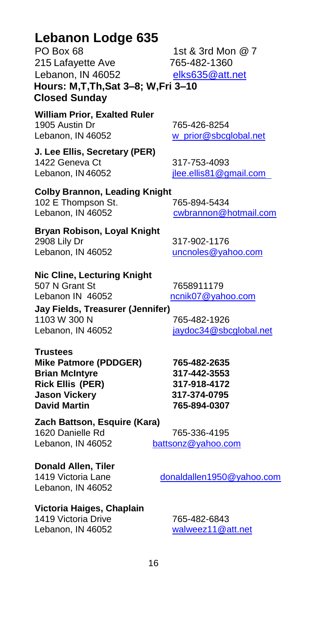### **Lebanon Lodge 635**

PO Box 68 1st & 3rd Mon @ 7 215 Lafayette Ave 765-482-1360 Lebanon, IN 46052 [elks635@att.net](mailto:elks635@att.net) **Hours: M,T,Th,Sat 3–8; W,Fri 3–10 Closed Sunday**

**William Prior, Exalted Ruler** 1905 Austin Dr 765-426-8254 Lebanon, IN 46052 [w\\_prior@sbcglobal.net](mailto:w_prior@sbcglobal.net)

 **J. Lee Ellis, Secretary (PER)** 1422 Geneva Ct 317-753-4093 Lebanon, IN 46052 [jlee.ellis81@gmail.com](file:///C:/Users/njw/elks/directory/2021-22/jlee.ellis81@gmail.com)

**Colby Brannon, Leading Knight** 102 E Thompson St. 765-894-5434 Lebanon, IN 46052 [cwbrannon@h](mailto:cwbrannon@)otmail.com

[uncnoles@yahoo.com](mailto:uncnoles@yahoo.com)

**Bryan Robison, Loyal Knight** 2908 Lily Dr 317-902-1176<br>
Lebanon. IN 46052 **Dr and Lebanon**. IN 46052

**Nic Cline, Lecturing Knight** 507 N Grant St 7658911179 Lebanon IN 46052 [ncnik07@yahoo.com](file:///C:/Users/njw/elks/directory/2021-22/ncnik07@yahoo.com)

**Jay Fields, Treasurer (Jennifer)** 1103 W 300 N 765-482-1926 Lebanon, IN 46052 [jaydoc34@](mailto:jerbowen78@gmail.com)sbcglobal.net

**Trustees Mike Patmore (PDDGER) 765-482-2635 Brian McIntyre 317-442-3553 Rick Ellis (PER) 317-918-4172 Jason Vickery 317-374-0795 David Martin 765-894-0307**

**Zach Battson, Esquire (Kara)** 1620 Danielle Rd 765-336-4195 Lebanon, IN 46052 [battsonz@yahoo.com](mailto:battsonz@yahoo.com)

**Donald Allen, Tiler**  1419 Victoria Lane [donaldallen1950@yahoo.com](mailto:donaldallen1950@yahoo.com) Lebanon, IN 46052

**Victoria Haiges, Chaplain**

1419 Victoria Drive 765-482-6843 Lebanon, IN 46052 [walweez11@att.net](mailto:walweez11@att.net)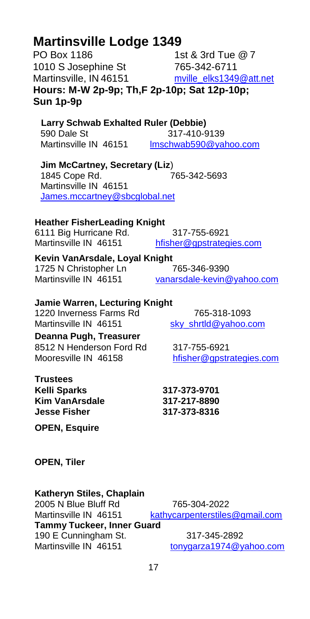# **Martinsville Lodge 1349**

PO Box 1186 1st & 3rd Tue @ 7 1010 S Josephine St 765-342-6711 Martinsville, IN 46151 mville**\_**[elks1349@att.net](mailto:mville_elks1349@att.net) **Hours: M-W 2p-9p; Th,F 2p-10p; Sat 12p-10p; Sun 1p-9p**

 **Larry Schwab Exhalted Ruler (Debbie)** 590 Dale St 317-410-9139<br>Martinsville IN 46151 Imschwab590@va [lmschwab590@yahoo.com](file:///C:/Users/njw/elks/directory/2021-22/lmschwab590@yahoo.com)

**Jim McCartney, Secretary (Liz**) 1845 Cope Rd. 765-342-5693 Martinsville IN 46151 [James.mccartney@sbcglobal.net](file:///C:/Users/njw/elks/directory/2021-22/James.mccartney@sbcglobal.net)

#### **Heather FisherLeading Knight**

6111 Big Hurricane Rd. 317-755-6921

Martinsville IN 46151 [hfisher@gpstrategies.com](mailto:hfisher@gpstrategies.com)

**Kevin VanArsdale, Loyal Knight**  1725 N Christopher Ln 765-346-9390 Martinsville IN 46151 [vanarsdale-kevin@yahoo.com](mailto:vanarsdale-kevin@yahoo.com)

#### **Jamie Warren, Lecturing Knight**

1220 Inverness Farms Rd 765-318-1093<br>Martinsville IN 46151 sky shrtld@vahoo.c **Deanna Pugh, Treasurer** 8512 N Henderson Ford Rd 317-755-6921

**Trustees**

**OPEN, Esquire** 

**OPEN, Tiler** 

#### **Katheryn Stiles, Chaplain**

2005 N Blue Bluff Rd 765-304-2022 Martinsville IN 46151 [kathycarpenterstiles@gmail.com](mailto:kathycarpenterstiles@gmail.com) **Tammy Tuckeer, Inner Guard** 190 E Cunningham St. 317-345-2892<br>Martinsville IN 46151 tonygarza1974@y [tonygarza1974@yahoo.com](file:///C:/Users/njw/elks/directory/2021-22/tonygarza1974@yahoo.com)

[sky\\_shrtld@yahoo.com](mailto:sky_shrtld@yahoo.com)

Mooresville IN 46158 [hfisher@gpstrategies.com](file:///C:/Users/njw/elks/directory/2021-22/hfisher@gpstrategies.com)

**Kelli Sparks 317-373-9701 Kim VanArsdale 317-217-8890 Jesse Fisher 317-373-8316**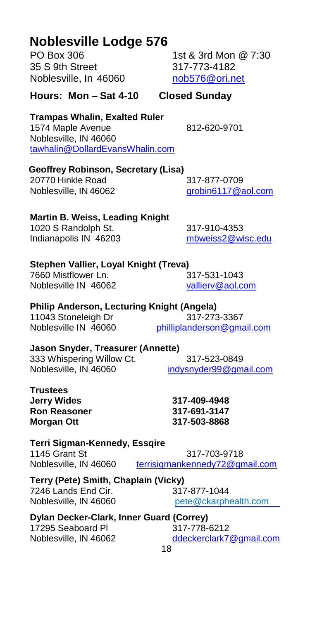**Hours: Mon – Sat 4-10 Closed Sunday**

**Trampas Whalin, Exalted Ruler** 1574 Maple Avenue 812-620-9701 Noblesville, IN 46060 [tawhalin@DollardEvansWhalin.com](mailto:tawhalin@DollardEvansWhalin.com)

**Geoffrey Robinson, Secretary (Lisa)**

20770 Hinkle Road 317-877-0709 Noblesville, IN 46062 [grobin6117@aol.com](mailto:grobin6117@aol.com)

#### **Martin B. Weiss, Leading Knight**

1020 S Randolph St. 317-910-4353 Indianapolis IN 46203 [mbweiss2@wisc.edu](file:///C:/Users/njw/elks/directory/2021-22/mbweiss2@wisc.edu)

#### **Stephen Vallier, Loyal Knight (Treva)**

7660 Mistflower Ln. 317-531-1043 Noblesville IN 46062 [vallierv@aol.com](file:///C:/Users/njw/elks/directory/2021-22/vallierv@aol.com)

#### **Philip Anderson, Lecturing Knight (Angela)**

11043 Stoneleigh Dr 317-273-3367 Noblesville IN 46060 [philliplanderson@gmail.com](mailto:philliplanderson@gmail.com)

## **Jason Snyder, Treasurer (Annette)**

333 Whispering Willow Ct. 317-523-0849 Noblesville, IN 46060 [indysnyder99@gmail.com](mailto:indysnyder99@gmail.com)

**Trustees Jerry Wides 317-409-4948 Ron Reasoner 317-691-3147 Morgan Ott 317-503-8868**

**Terri Sigman-Kennedy, Essqire** 1145 Grant St 317-703-9718 Noblesville, IN 46060 [terrisigmankennedy72@gmail.com](file:///C:/Users/njw/elks/directory/2021-22/terrisigmankennedy72@gmail.com)

**Terry (Pete) Smith, Chaplain (Vicky)** 7246 Lands End Cir.<br>
Noblesville. IN 46060<br>
Noblesville. IN 46060

pete@ckarphealth.com

#### **Dylan Decker-Clark, Inner Guard (Correy)**

17295 Seaboard Pl 317-778-6212 Noblesville, IN 46062 [ddeckerclark7@gmail.com](mailto:ddeckerclark7@gmail.com)

# **Noblesville Lodge 576**

PO Box 306 1st & 3rd Mon @ 7:30 Noblesville, In 46060 mob576@ori.net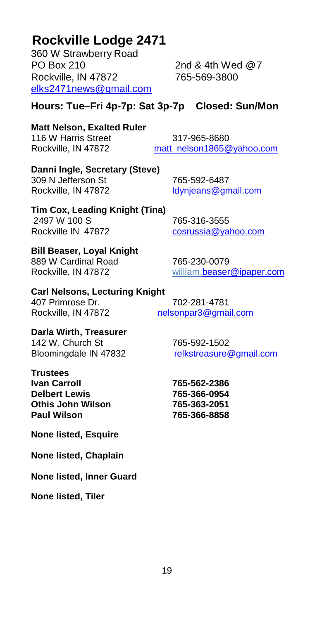# **Rockville Lodge 2471**

360 W Strawberry Road PO Box 210 2nd & 4th Wed @7 Rockville, IN 47872 [elks2471news@gmail.com](mailto:elks2471news@gmail.com)

#### **Hours: Tue–Fri 4p-7p: Sat 3p-7p Closed: Sun/Mon**

# **Matt Nelson, Exalted Ruler**

116 W Harris Street 317-965-8680 Rockville, IN 47872 [matt\\_nelson1865@yahoo.com](mailto:matt_nelson1865@yahoo.com)

#### **Danni Ingle, Secretary (Steve)**

309 N Jefferson St 765-592-6487<br>Rockville, IN 47872 ldvnieans@an

Idynjeans@gmail.com

## **Tim Cox, Leading Knight (Tina)** 2497 W 100 S 765-316-3555

Rockville IN 47872 [cosrussia@yahoo.com](mailto:cosrussia@yahoo.com)

889 W Cardinal Road 765-230-0079 Rockville, IN 47872 willia[m.beaser@ipaper.com](mailto:beaser@ipaper.com)

#### **Carl Nelsons, Lecturing Knight**

**Bill Beaser, Loyal Knight**

407 Primrose Dr. 702-281-4781

Rockville, IN 47872 [nelsonpar3@gmail.com](mailto:nelsonpar3@gmail.com)

**Darla Wirth, Treasurer** 142 W. Church St 765-592-1502

**Trustees Ivan Carroll 765-562-2386 Delbert Lewis 765-366-0954 Othis John Wilson 765-363-2051 Paul Wilson 765-366-8858**

**None listed, Esquire**

**None listed, Chaplain**

**None listed, Inner Guard**

**None listed, Tiler**

Bloomingdale IN 47832 [relkstreasure@gmail.com](mailto:relkstreasure@gmail.com)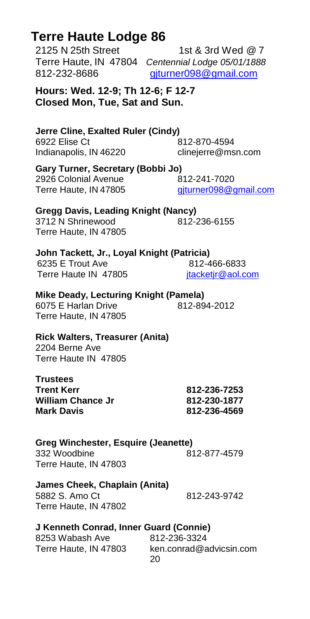| Hours: Wed. 12-9; Th 12-6; F 12-7<br>Closed Mon, Tue, Sat and Sun.                       |                                               |
|------------------------------------------------------------------------------------------|-----------------------------------------------|
| Jerre Cline, Exalted Ruler (Cindy)<br>6922 Elise Ct<br>Indianapolis, IN 46220            | 812-870-4594<br>clinejerre@msn.com            |
| Gary Turner, Secretary (Bobbi Jo)<br>2926 Colonial Avenue<br>Terre Haute, IN 47805       | 812-241-7020<br>giturner098@gmail.com         |
| <b>Gregg Davis, Leading Knight (Nancy)</b><br>3712 N Shrinewood<br>Terre Haute, IN 47805 | 812-236-6155                                  |
| John Tackett, Jr., Loyal Knight (Patricia)<br>6235 E Trout Ave<br>Terre Haute IN 47805   | 812-466-6833<br>jtacketjr@aol.com             |
| Mike Deady, Lecturing Knight (Pamela)<br>6075 E Harlan Drive<br>Terre Haute, IN 47805    | 812-894-2012                                  |
| <b>Rick Walters, Treasurer (Anita)</b><br>2204 Berne Ave<br>Terre Haute IN 47805         |                                               |
| <b>Trustees</b><br><b>Trent Kerr</b><br><b>William Chance Jr</b><br><b>Mark Davis</b>    | 812-236-7253<br>812-230-1877<br>812-236-4569  |
| <b>Greg Winchester, Esquire (Jeanette)</b><br>332 Woodbine<br>Terre Haute, IN 47803      | 812-877-4579                                  |
| James Cheek, Chaplain (Anita)<br>5882 S. Amo Ct<br>Terre Haute, IN 47802                 | 812-243-9742                                  |
| J Kenneth Conrad, Inner Guard (Connie)<br>8253 Wabash Ave<br>Terre Haute, IN 47803       | 812-236-3324<br>ken.conrad@advicsin.com<br>20 |

# **Terre Haute Lodge 86**<br>2125 N 25th Street

1st & 3rd Wed  $@7$ Terre Haute, IN 47804 *Centennial Lodge 05/01/1888* 812-232-8686 [gjturner098@gmail.com](mailto:gjturner098@gmail.com)

**Hours: Wed. 12-9; Th 12-6; F 12-7 Closed Mon, Tue, Sat and Sun.**

### **Mike Deady, Lecturing Knight (Pamela)**

#### **Rick Walters, Treasurer (Anita)**

# **Greg Winchester, Esquire (Jeanette)**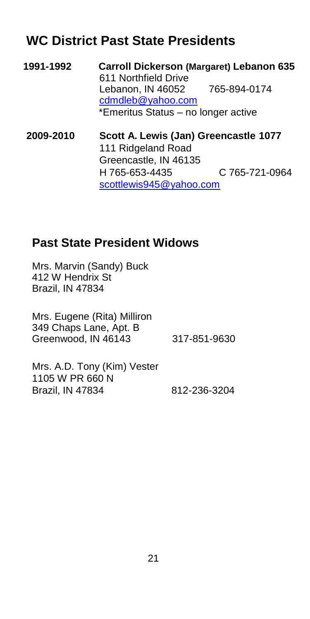# **WC District Past State Presidents**

**1991-1992 Carroll Dickerson (Margaret) Lebanon 635** 611 Northfield Drive Lebanon, IN 46052 765-894-0174 [cdmdleb@yahoo.com](mailto:cdmdleb@yahoo.com) \*Emeritus Status – no longer active **2009-2010 Scott A. Lewis (Jan) Greencastle 1077** 111 Ridgeland Road Greencastle, IN 46135 H 765-653-4435 C 765-721-0964

[scottlewis945@yahoo.com](mailto:scottlewis945@yahoo.com)

## <span id="page-22-0"></span>**Past State President Widows**

Mrs. Marvin (Sandy) Buck 412 W Hendrix St Brazil, IN 47834

Mrs. Eugene (Rita) Milliron 349 Chaps Lane, Apt. B Greenwood, IN 46143 317-851-9630

 Mrs. A.D. Tony (Kim) Vester 1105 W PR 660 N Brazil, IN 47834 812-236-3204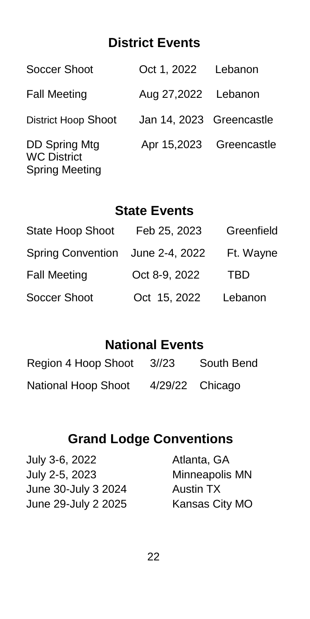# **District Events**

| Soccer Shoot                                                 | Oct 1, 2022 Lebanon      |  |
|--------------------------------------------------------------|--------------------------|--|
| <b>Fall Meeting</b>                                          | Aug 27,2022 Lebanon      |  |
| <b>District Hoop Shoot</b>                                   | Jan 14, 2023 Greencastle |  |
| DD Spring Mtg<br><b>WC District</b><br><b>Spring Meeting</b> | Apr 15,2023 Greencastle  |  |

# **State Events**

| <b>State Hoop Shoot</b>          | Feb 25, 2023  | Greenfield |
|----------------------------------|---------------|------------|
| Spring Convention June 2-4, 2022 |               | Ft. Wayne  |
| <b>Fall Meeting</b>              | Oct 8-9, 2022 | TBD        |
| Soccer Shoot                     | Oct 15, 2022  | Lebanon    |

# **National Events**

| Region 4 Hoop Shoot 3//23 | South Bend        |
|---------------------------|-------------------|
| National Hoop Shoot       | $4/29/22$ Chicago |

# **Grand Lodge Conventions**

| July 3-6, 2022      | Atlanta, GA      |
|---------------------|------------------|
| July 2-5, 2023      | Minneapolis MN   |
| June 30-July 3 2024 | <b>Austin TX</b> |
| June 29-July 2 2025 | Kansas City MO   |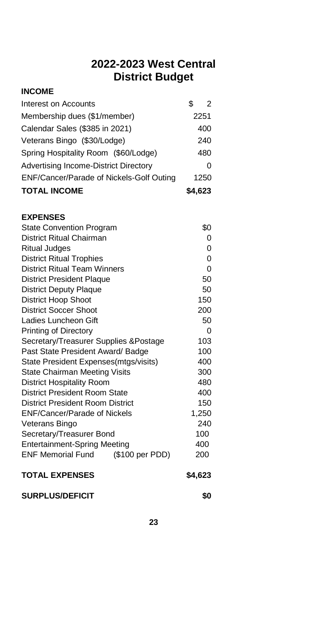### **2022-2023 West Central District Budget**

#### **INCOME**

| Advertising Income-District Directory    |  | 0             |
|------------------------------------------|--|---------------|
|                                          |  |               |
|                                          |  |               |
| ENF/Cancer/Parade of Nickels-Golf Outing |  | 1250          |
|                                          |  |               |
| Spring Hospitality Room (\$60/Lodge)     |  | 480           |
| Veterans Bingo (\$30/Lodge)              |  | 240           |
| Calendar Sales (\$385 in 2021)           |  | 400           |
| Membership dues (\$1/member)             |  | 2251          |
| Interest on Accounts                     |  | $\mathcal{P}$ |

#### **EXPENSES**

| <b>State Convention Program</b>             | \$0     |
|---------------------------------------------|---------|
| District Ritual Chairman                    | 0       |
| <b>Ritual Judges</b>                        | 0       |
| <b>District Ritual Trophies</b>             | 0       |
| District Ritual Team Winners                | 0       |
| <b>District President Plaque</b>            | 50      |
| District Deputy Plaque                      | 50      |
| <b>District Hoop Shoot</b>                  | 150     |
| District Soccer Shoot                       | 200     |
| Ladies Luncheon Gift                        | 50      |
| Printing of Directory                       | 0       |
| Secretary/Treasurer Supplies &Postage       | 103     |
| Past State President Award/ Badge           | 100     |
| State President Expenses (mtgs/visits)      | 400     |
| State Chairman Meeting Visits               | 300     |
| <b>District Hospitality Room</b>            | 480     |
| District President Room State               | 400     |
| District President Room District            | 150     |
| <b>ENF/Cancer/Parade of Nickels</b>         | 1,250   |
| Veterans Bingo                              | 240     |
| Secretary/Treasurer Bond                    | 100     |
| <b>Entertainment-Spring Meeting</b>         | 400     |
| <b>ENF Memorial Fund</b><br>(\$100 per PDD) | 200     |
| <b>TOTAL EXPENSES</b>                       | \$4,623 |

SURPLUS/DEFICIT **\$0**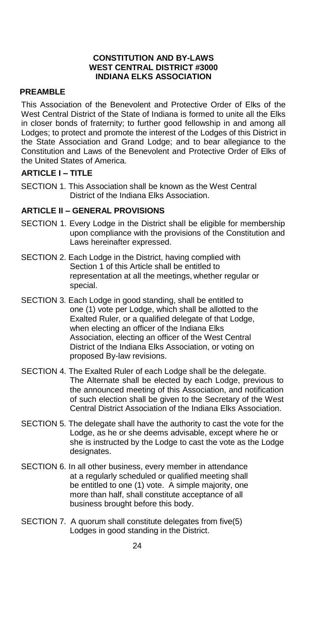#### **CONSTITUTION AND BY-LAWS WEST CENTRAL DISTRICT #3000 INDIANA ELKS ASSOCIATION**

#### **PREAMBLE**

This Association of the Benevolent and Protective Order of Elks of the West Central District of the State of Indiana is formed to unite all the Elks in closer bonds of fraternity; to further good fellowship in and among all Lodges; to protect and promote the interest of the Lodges of this District in the State Association and Grand Lodge; and to bear allegiance to the Constitution and Laws of the Benevolent and Protective Order of Elks of the United States of America.

#### **ARTICLE I – TITLE**

SECTION 1. This Association shall be known as the West Central District of the Indiana Elks Association.

#### **ARTICLE II – GENERAL PROVISIONS**

- SECTION 1. Every Lodge in the District shall be eligible for membership upon compliance with the provisions of the Constitution and Laws hereinafter expressed.
- SECTION 2. Each Lodge in the District, having complied with Section 1 of this Article shall be entitled to representation at all the meetings, whether regular or special.
- SECTION 3. Each Lodge in good standing, shall be entitled to one (1) vote per Lodge, which shall be allotted to the Exalted Ruler, or a qualified delegate of that Lodge, when electing an officer of the Indiana Elks Association, electing an officer of the West Central District of the Indiana Elks Association, or voting on proposed By-law revisions.
- SECTION 4. The Exalted Ruler of each Lodge shall be the delegate. The Alternate shall be elected by each Lodge, previous to the announced meeting of this Association, and notification of such election shall be given to the Secretary of the West Central District Association of the Indiana Elks Association.
- SECTION 5. The delegate shall have the authority to cast the vote for the Lodge, as he or she deems advisable, except where he or she is instructed by the Lodge to cast the vote as the Lodge designates.
- SECTION 6. In all other business, every member in attendance at a regularly scheduled or qualified meeting shall be entitled to one (1) vote. A simple majority, one more than half, shall constitute acceptance of all business brought before this body.
- SECTION 7. A quorum shall constitute delegates from five(5) Lodges in good standing in the District.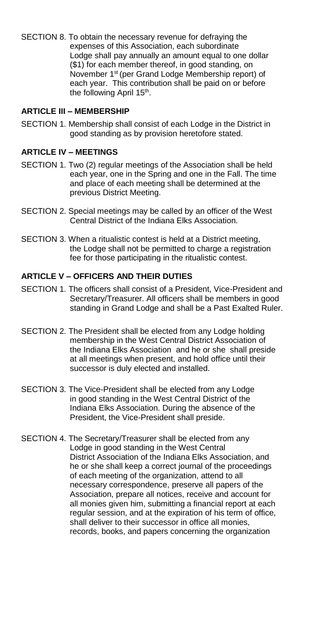SECTION 8. To obtain the necessary revenue for defraying the expenses of this Association, each subordinate Lodge shall pay annually an amount equal to one dollar (\$1) for each member thereof, in good standing, on November 1<sup>st</sup> (per Grand Lodge Membership report) of each year. This contribution shall be paid on or before the following April 15<sup>th</sup>.

#### **ARTICLE III – MEMBERSHIP**

SECTION 1. Membership shall consist of each Lodge in the District in good standing as by provision heretofore stated.

#### **ARTICLE IV – MEETINGS**

- SECTION 1. Two (2) regular meetings of the Association shall be held each year, one in the Spring and one in the Fall. The time and place of each meeting shall be determined at the previous District Meeting.
- SECTION 2. Special meetings may be called by an officer of the West Central District of the Indiana Elks Association.
- SECTION 3. When a ritualistic contest is held at a District meeting, the Lodge shall not be permitted to charge a registration fee for those participating in the ritualistic contest.

#### **ARTICLE V – OFFICERS AND THEIR DUTIES**

- SECTION 1. The officers shall consist of a President, Vice-President and Secretary/Treasurer. All officers shall be members in good standing in Grand Lodge and shall be a Past Exalted Ruler.
- SECTION 2. The President shall be elected from any Lodge holding membership in the West Central District Association of the Indiana Elks Association and he or she shall preside at all meetings when present, and hold office until their successor is duly elected and installed.
- SECTION 3. The Vice-President shall be elected from any Lodge in good standing in the West Central District of the Indiana Elks Association. During the absence of the President, the Vice-President shall preside.
- SECTION 4. The Secretary/Treasurer shall be elected from any Lodge in good standing in the West Central District Association of the Indiana Elks Association, and he or she shall keep a correct journal of the proceedings of each meeting of the organization, attend to all necessary correspondence, preserve all papers of the Association, prepare all notices, receive and account for all monies given him, submitting a financial report at each regular session, and at the expiration of his term of office, shall deliver to their successor in office all monies, records, books, and papers concerning the organization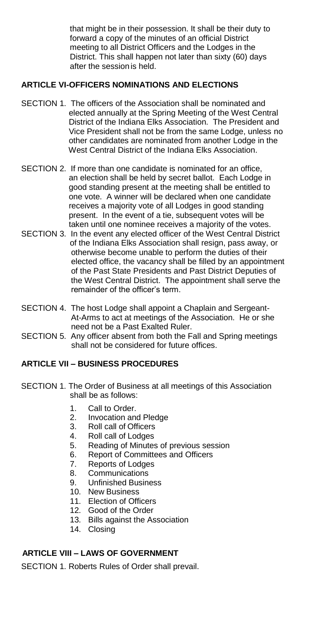that might be in their possession. It shall be their duty to forward a copy of the minutes of an official District meeting to all District Officers and the Lodges in the District. This shall happen not later than sixty (60) days after the sessionis held.

#### **ARTICLE VI-OFFICERS NOMINATIONS AND ELECTIONS**

- SECTION 1. The officers of the Association shall be nominated and elected annually at the Spring Meeting of the West Central District of the Indiana Elks Association. The President and Vice President shall not be from the same Lodge, unless no other candidates are nominated from another Lodge in the West Central District of the Indiana Elks Association.
- SECTION 2. If more than one candidate is nominated for an office, an election shall be held by secret ballot. Each Lodge in good standing present at the meeting shall be entitled to one vote. A winner will be declared when one candidate receives a majority vote of all Lodges in good standing present. In the event of a tie, subsequent votes will be taken until one nominee receives a majority of the votes.
- SECTION 3. In the event any elected officer of the West Central District of the Indiana Elks Association shall resign, pass away, or otherwise become unable to perform the duties of their elected office, the vacancy shall be filled by an appointment of the Past State Presidents and Past District Deputies of the West Central District. The appointment shall serve the remainder of the officer's term.
- SECTION 4. The host Lodge shall appoint a Chaplain and Sergeant- At-Arms to act at meetings of the Association. He or she need not be a Past Exalted Ruler.
- SECTION 5. Any officer absent from both the Fall and Spring meetings shall not be considered for future offices.

#### **ARTICLE VII – BUSINESS PROCEDURES**

- SECTION 1. The Order of Business at all meetings of this Association shall be as follows:
	- 1. Call to Order.
	- 2. Invocation and Pledge<br>3. Roll call of Officers
	- Roll call of Officers
	- 4. Roll call of Lodges
	- 5. Reading of Minutes of previous session
	- 6. Report of Committees and Officers<br>7. Reports of Lodges
	- Reports of Lodges
	- 8. Communications
	- 9. Unfinished Business
	- 10. New Business
	- 11. Election of Officers
	- 12. Good of the Order
	- 13. Bills against the Association
	- 14. Closing

#### **ARTICLE VIII – LAWS OF GOVERNMENT**

SECTION 1. Roberts Rules of Order shall prevail.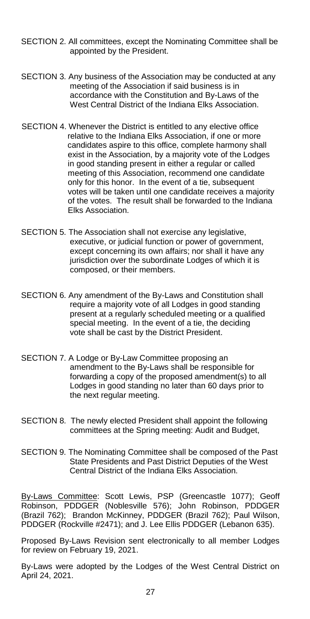- SECTION 2. All committees, except the Nominating Committee shall be appointed by the President.
- SECTION 3. Any business of the Association may be conducted at any meeting of the Association if said business is in accordance with the Constitution and By-Laws of the West Central District of the Indiana Elks Association.
- SECTION 4. Whenever the District is entitled to any elective office relative to the Indiana Elks Association, if one or more candidates aspire to this office, complete harmony shall exist in the Association, by a majority vote of the Lodges in good standing present in either a regular or called meeting of this Association, recommend one candidate only for this honor. In the event of a tie, subsequent votes will be taken until one candidate receives a majority of the votes. The result shall be forwarded to the Indiana Elks Association.
- SECTION 5. The Association shall not exercise any legislative, executive, or judicial function or power of government, except concerning its own affairs; nor shall it have any jurisdiction over the subordinate Lodges of which it is composed, or their members.
- SECTION 6. Any amendment of the By-Laws and Constitution shall require a majority vote of all Lodges in good standing present at a regularly scheduled meeting or a qualified special meeting. In the event of a tie, the deciding vote shall be cast by the District President.
- SECTION 7. A Lodge or By-Law Committee proposing an amendment to the By-Laws shall be responsible for forwarding a copy of the proposed amendment(s) to all Lodges in good standing no later than 60 days prior to the next regular meeting.
- SECTION 8. The newly elected President shall appoint the following committees at the Spring meeting: Audit and Budget,
- SECTION 9. The Nominating Committee shall be composed of the Past State Presidents and Past District Deputies of the West Central District of the Indiana Elks Association.

By-Laws Committee: Scott Lewis, PSP (Greencastle 1077); Geoff Robinson, PDDGER (Noblesville 576); John Robinson, PDDGER (Brazil 762); Brandon McKinney, PDDGER (Brazil 762); Paul Wilson, PDDGER (Rockville #2471); and J. Lee Ellis PDDGER (Lebanon 635).

Proposed By-Laws Revision sent electronically to all member Lodges for review on February 19, 2021.

By-Laws were adopted by the Lodges of the West Central District on April 24, 2021.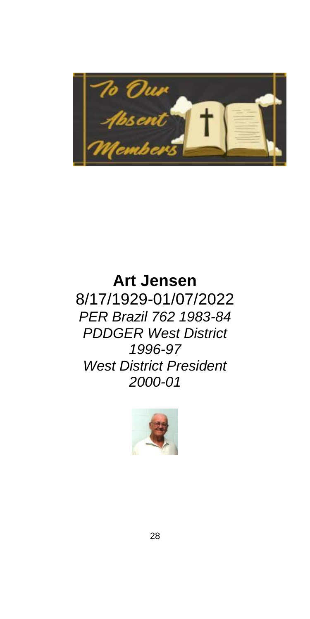

# **Art Jensen** 8/17/1929-01/07/2022 *PER Brazil 762 1983-84 PDDGER West District 1996-97 West District President 2000-01*